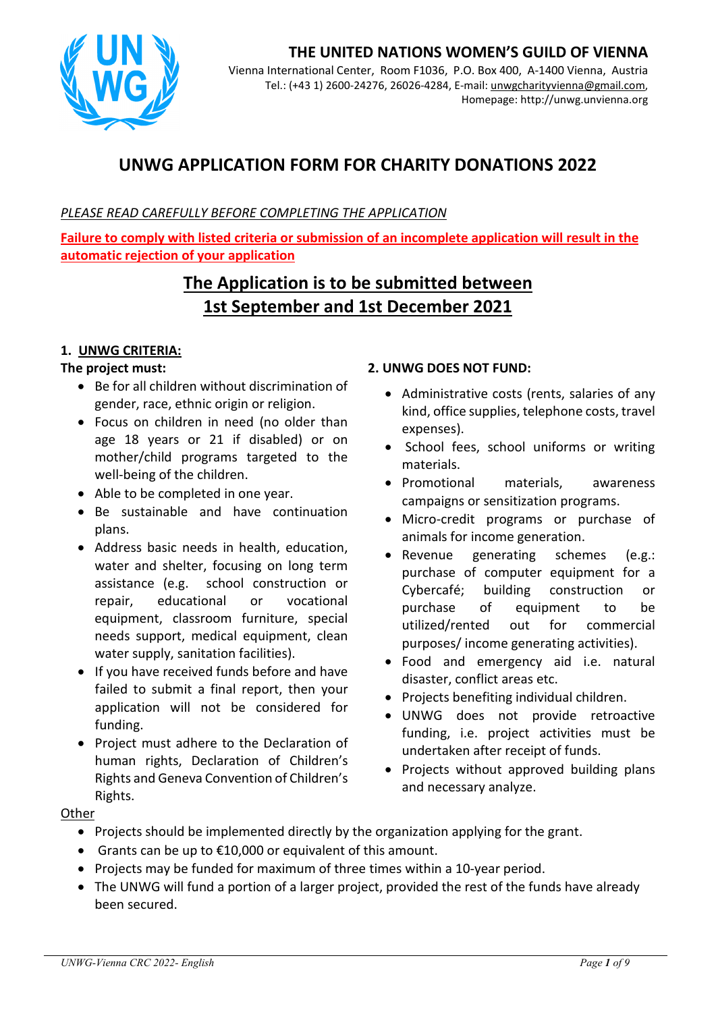

# **THE UNITED NATIONS WOMEN'S GUILD OF VIENNA**

Vienna International Center, Room F1036, P.O. Box 400, A-1400 Vienna, Austria Tel.: (+43 1) 2600-24276, 26026-4284, E-mail: unwgcharityvienna@gmail.com, Homepage: http://unwg.unvienna.org

# **UNWG APPLICATION FORM FOR CHARITY DONATIONS 2022**

### *PLEASE READ CAREFULLY BEFORE COMPLETING THE APPLICATION*

**Failure to comply with listed criteria or submission of an incomplete application will result in the automatic rejection of your application** 

# **The Application is to be submitted between 1st September and 1st December 2021**

### **1. UNWG CRITERIA:**

### **The project must:**

- Be for all children without discrimination of gender, race, ethnic origin or religion.
- Focus on children in need (no older than age 18 years or 21 if disabled) or on mother/child programs targeted to the well-being of the children.
- Able to be completed in one year.
- Be sustainable and have continuation plans.
- Address basic needs in health, education, water and shelter, focusing on long term assistance (e.g. school construction or repair, educational or vocational equipment, classroom furniture, special needs support, medical equipment, clean water supply, sanitation facilities).
- If you have received funds before and have failed to submit a final report, then your application will not be considered for funding.
- Project must adhere to the Declaration of human rights, Declaration of Children's Rights and Geneva Convention of Children's Rights.

#### **2. UNWG DOES NOT FUND:**

- Administrative costs (rents, salaries of any kind, office supplies, telephone costs, travel expenses).
- School fees, school uniforms or writing materials.
- Promotional materials, awareness campaigns or sensitization programs.
- Micro-credit programs or purchase of animals for income generation.
- Revenue generating schemes (e.g.: purchase of computer equipment for a Cybercafé; building construction or purchase of equipment to be utilized/rented out for commercial purposes/ income generating activities).
- Food and emergency aid i.e. natural disaster, conflict areas etc.
- Projects benefiting individual children.
- UNWG does not provide retroactive funding, i.e. project activities must be undertaken after receipt of funds.
- Projects without approved building plans and necessary analyze.

#### **Other**

- Projects should be implemented directly by the organization applying for the grant.
- Grants can be up to  $£10,000$  or equivalent of this amount.
- Projects may be funded for maximum of three times within a 10-year period.
- The UNWG will fund a portion of a larger project, provided the rest of the funds have already been secured.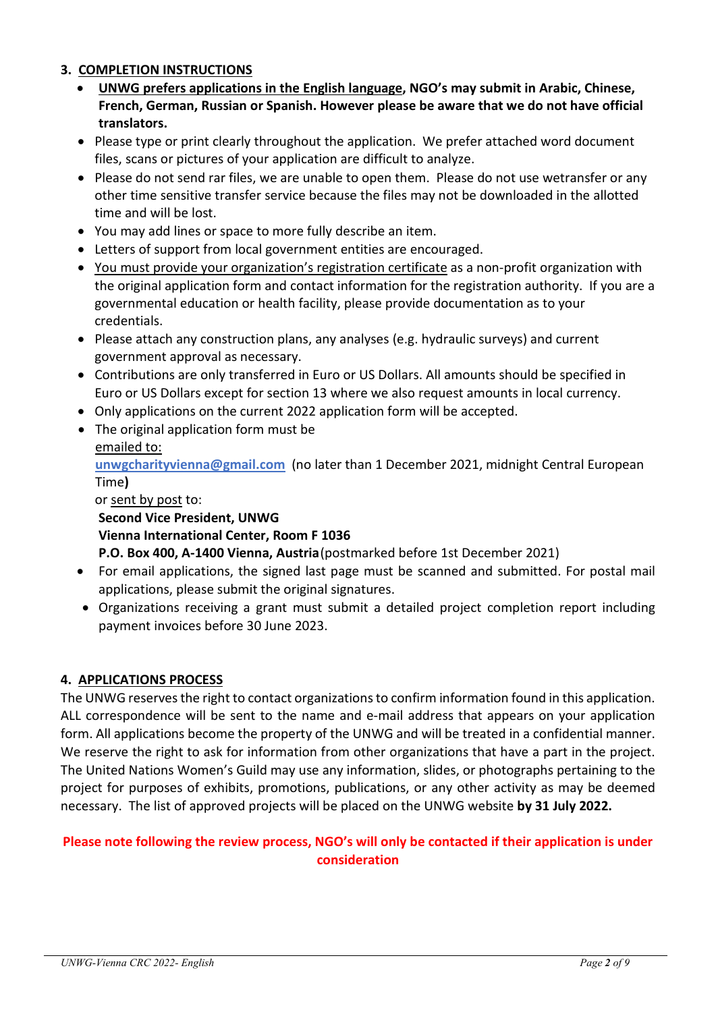### **3. COMPLETION INSTRUCTIONS**

- **UNWG prefers applications in the English language, NGO's may submit in Arabic, Chinese, French, German, Russian or Spanish. However please be aware that we do not have official translators.**
- Please type or print clearly throughout the application. We prefer attached word document files, scans or pictures of your application are difficult to analyze.
- Please do not send rar files, we are unable to open them. Please do not use wetransfer or any other time sensitive transfer service because the files may not be downloaded in the allotted time and will be lost.
- You may add lines or space to more fully describe an item.
- Letters of support from local government entities are encouraged.
- You must provide your organization's registration certificate as a non-profit organization with the original application form and contact information for the registration authority. If you are a governmental education or health facility, please provide documentation as to your credentials.
- Please attach any construction plans, any analyses (e.g. hydraulic surveys) and current government approval as necessary.
- Contributions are only transferred in Euro or US Dollars. All amounts should be specified in Euro or US Dollars except for section 13 where we also request amounts in local currency.
- Only applications on the current 2022 application form will be accepted.
- The original application form must be emailed to:

**unwgcharityvienna@gmail.com** (no later than 1 December 2021, midnight Central European Time**)**

### or sent by post to: **Second Vice President, UNWG Vienna International Center, Room F 1036**

**P.O. Box 400, A-1400 Vienna, Austria** (postmarked before 1st December 2021)

- For email applications, the signed last page must be scanned and submitted. For postal mail applications, please submit the original signatures.
- Organizations receiving a grant must submit a detailed project completion report including payment invoices before 30 June 2023.

# **4. APPLICATIONS PROCESS**

The UNWG reserves the right to contact organizations to confirm information found in this application. ALL correspondence will be sent to the name and e-mail address that appears on your application form. All applications become the property of the UNWG and will be treated in a confidential manner. We reserve the right to ask for information from other organizations that have a part in the project. The United Nations Women's Guild may use any information, slides, or photographs pertaining to the project for purposes of exhibits, promotions, publications, or any other activity as may be deemed necessary. The list of approved projects will be placed on the UNWG website **by 31 July 2022.** 

## **Please note following the review process, NGO's will only be contacted if their application is under consideration**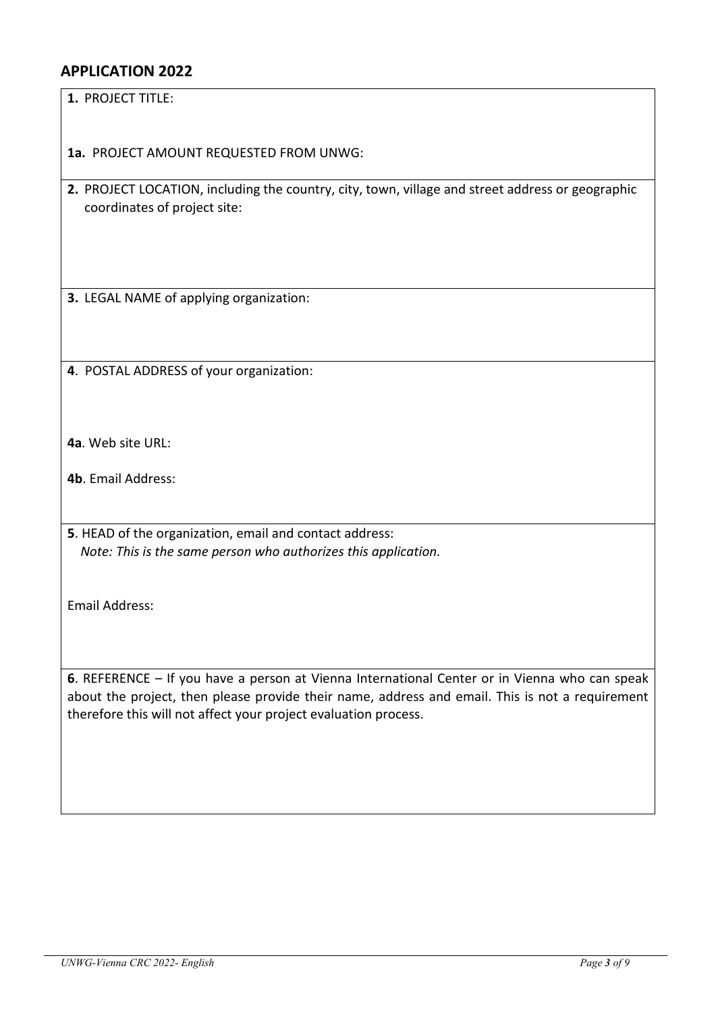# **APPLICATION 2022**

**1.** PROJECT TITLE:

**1a.** PROJECT AMOUNT REQUESTED FROM UNWG:

**2.** PROJECT LOCATION, including the country, city, town, village and street address or geographic coordinates of project site:

**3.** LEGAL NAME of applying organization:

**4**. POSTAL ADDRESS of your organization:

**4a**. Web site URL:

**4b**. Email Address:

**5**. HEAD of the organization, email and contact address:  *Note: This is the same person who authorizes this application.* 

Email Address:

**6**. REFERENCE – If you have a person at Vienna International Center or in Vienna who can speak about the project, then please provide their name, address and email. This is not a requirement therefore this will not affect your project evaluation process.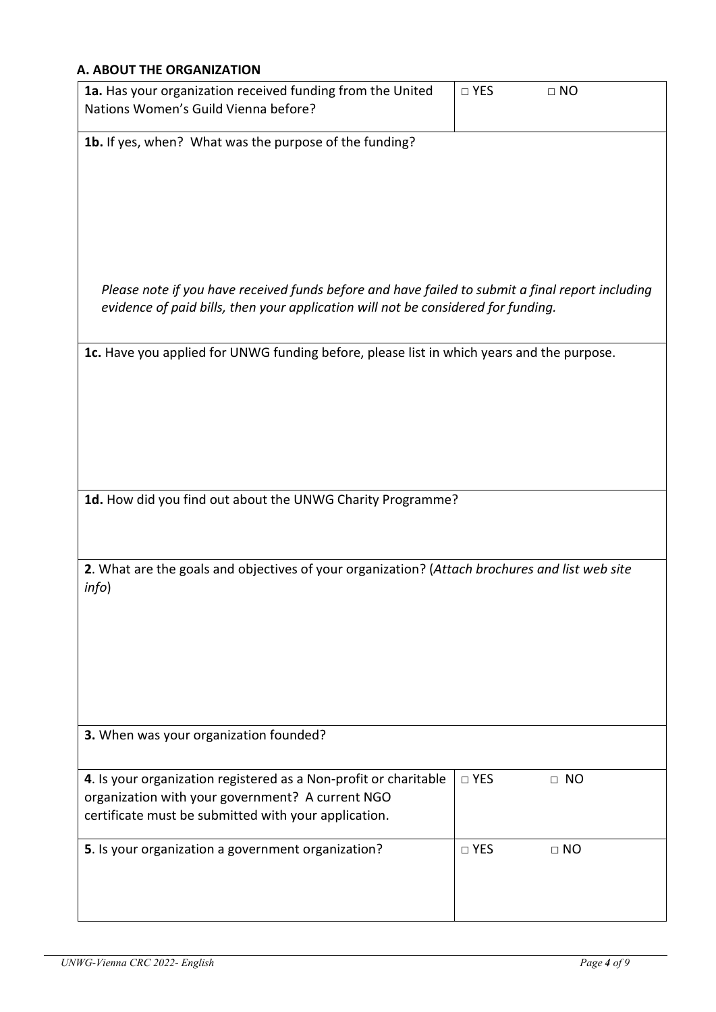## **A. ABOUT THE ORGANIZATION**

| 1a. Has your organization received funding from the United<br>Nations Women's Guild Vienna before? | $\square$ YES | $\Box$ NO |
|----------------------------------------------------------------------------------------------------|---------------|-----------|
| 1b. If yes, when? What was the purpose of the funding?                                             |               |           |
|                                                                                                    |               |           |
|                                                                                                    |               |           |
|                                                                                                    |               |           |
|                                                                                                    |               |           |
|                                                                                                    |               |           |
|                                                                                                    |               |           |
| Please note if you have received funds before and have failed to submit a final report including   |               |           |
| evidence of paid bills, then your application will not be considered for funding.                  |               |           |
|                                                                                                    |               |           |
| 1c. Have you applied for UNWG funding before, please list in which years and the purpose.          |               |           |
|                                                                                                    |               |           |
|                                                                                                    |               |           |
|                                                                                                    |               |           |
|                                                                                                    |               |           |
|                                                                                                    |               |           |
|                                                                                                    |               |           |
|                                                                                                    |               |           |
| 1d. How did you find out about the UNWG Charity Programme?                                         |               |           |
|                                                                                                    |               |           |
|                                                                                                    |               |           |
| 2. What are the goals and objectives of your organization? (Attach brochures and list web site     |               |           |
| info)                                                                                              |               |           |
|                                                                                                    |               |           |
|                                                                                                    |               |           |
|                                                                                                    |               |           |
|                                                                                                    |               |           |
|                                                                                                    |               |           |
|                                                                                                    |               |           |
| 3. When was your organization founded?                                                             |               |           |
|                                                                                                    |               |           |
| 4. Is your organization registered as a Non-profit or charitable                                   | □ YES         | $\Box$ NO |
| organization with your government? A current NGO                                                   |               |           |
| certificate must be submitted with your application.                                               |               |           |
|                                                                                                    |               |           |
| 5. Is your organization a government organization?                                                 | □ YES         | $\Box$ NO |
|                                                                                                    |               |           |
|                                                                                                    |               |           |
|                                                                                                    |               |           |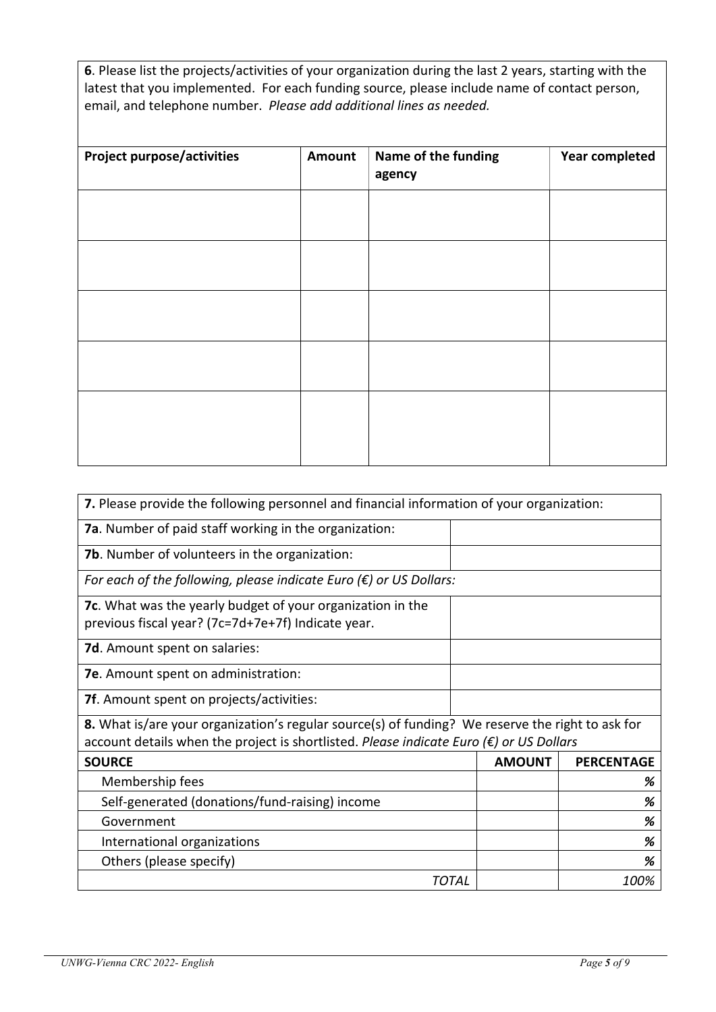**6**. Please list the projects/activities of your organization during the last 2 years, starting with the latest that you implemented. For each funding source, please include name of contact person, email, and telephone number. *Please add additional lines as needed.*

| Amount | Name of the funding<br>agency | <b>Year completed</b> |
|--------|-------------------------------|-----------------------|
|        |                               |                       |
|        |                               |                       |
|        |                               |                       |
|        |                               |                       |
|        |                               |                       |
|        |                               |                       |
|        |                               |                       |

| 7. Please provide the following personnel and financial information of your organization:                        |               |                   |  |  |
|------------------------------------------------------------------------------------------------------------------|---------------|-------------------|--|--|
| <b>7a.</b> Number of paid staff working in the organization:                                                     |               |                   |  |  |
| <b>7b.</b> Number of volunteers in the organization:                                                             |               |                   |  |  |
| For each of the following, please indicate Euro $(\epsilon)$ or US Dollars:                                      |               |                   |  |  |
| 7c. What was the yearly budget of your organization in the<br>previous fiscal year? (7c=7d+7e+7f) Indicate year. |               |                   |  |  |
| 7d. Amount spent on salaries:                                                                                    |               |                   |  |  |
| 7e. Amount spent on administration:                                                                              |               |                   |  |  |
| <b>7f.</b> Amount spent on projects/activities:                                                                  |               |                   |  |  |
| 8. What is/are your organization's regular source(s) of funding? We reserve the right to ask for                 |               |                   |  |  |
| account details when the project is shortlisted. Please indicate Euro $(\epsilon)$ or US Dollars                 |               |                   |  |  |
| <b>SOURCE</b>                                                                                                    | <b>AMOUNT</b> | <b>PERCENTAGE</b> |  |  |
| Membership fees                                                                                                  |               | %                 |  |  |
| Self-generated (donations/fund-raising) income                                                                   |               | %                 |  |  |
| Government                                                                                                       |               | %                 |  |  |
| International organizations                                                                                      |               | %                 |  |  |
| Others (please specify)                                                                                          |               | %                 |  |  |
| TOTAL                                                                                                            |               | 100%              |  |  |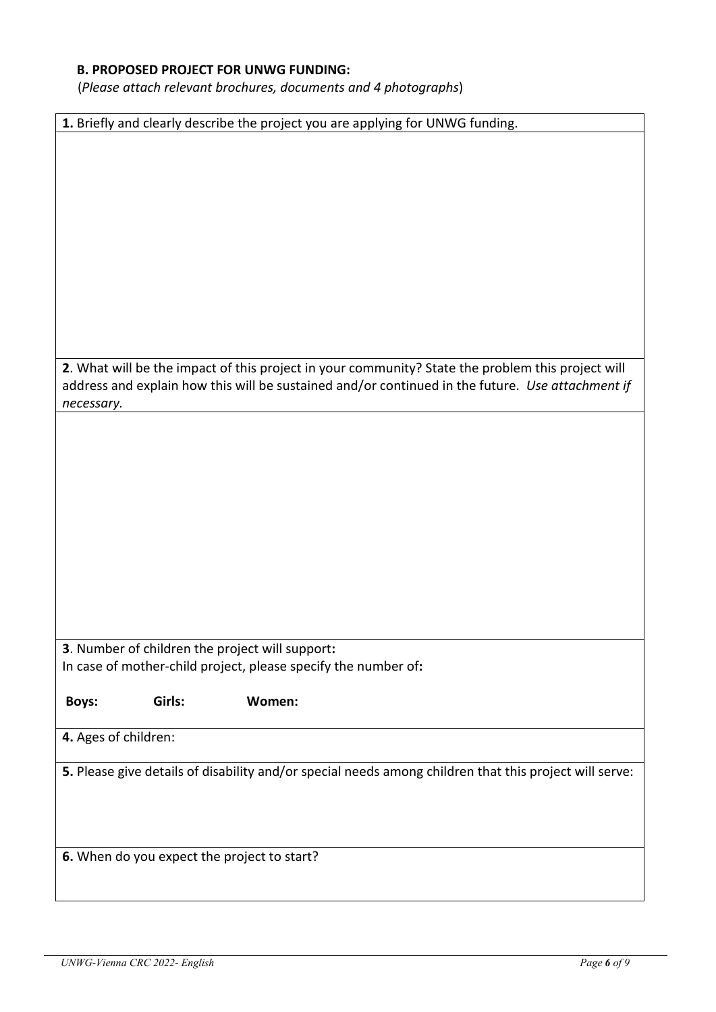## **B. PROPOSED PROJECT FOR UNWG FUNDING:**

(*Please attach relevant brochures, documents and 4 photographs*)

|                                             | 1. Briefly and clearly describe the project you are applying for UNWG funding.                                                                                                                        |
|---------------------------------------------|-------------------------------------------------------------------------------------------------------------------------------------------------------------------------------------------------------|
|                                             |                                                                                                                                                                                                       |
|                                             |                                                                                                                                                                                                       |
|                                             |                                                                                                                                                                                                       |
|                                             |                                                                                                                                                                                                       |
|                                             |                                                                                                                                                                                                       |
|                                             |                                                                                                                                                                                                       |
|                                             |                                                                                                                                                                                                       |
|                                             |                                                                                                                                                                                                       |
|                                             |                                                                                                                                                                                                       |
|                                             |                                                                                                                                                                                                       |
|                                             |                                                                                                                                                                                                       |
|                                             |                                                                                                                                                                                                       |
|                                             | 2. What will be the impact of this project in your community? State the problem this project will<br>address and explain how this will be sustained and/or continued in the future. Use attachment if |
| necessary.                                  |                                                                                                                                                                                                       |
|                                             |                                                                                                                                                                                                       |
|                                             |                                                                                                                                                                                                       |
|                                             |                                                                                                                                                                                                       |
|                                             |                                                                                                                                                                                                       |
|                                             |                                                                                                                                                                                                       |
|                                             |                                                                                                                                                                                                       |
|                                             |                                                                                                                                                                                                       |
|                                             |                                                                                                                                                                                                       |
|                                             |                                                                                                                                                                                                       |
|                                             |                                                                                                                                                                                                       |
|                                             |                                                                                                                                                                                                       |
|                                             |                                                                                                                                                                                                       |
|                                             | 3. Number of children the project will support:                                                                                                                                                       |
|                                             | In case of mother-child project, please specify the number of:                                                                                                                                        |
|                                             |                                                                                                                                                                                                       |
| Girls:<br><b>Boys:</b>                      | Women:                                                                                                                                                                                                |
|                                             |                                                                                                                                                                                                       |
| 4. Ages of children:                        |                                                                                                                                                                                                       |
|                                             | 5. Please give details of disability and/or special needs among children that this project will serve:                                                                                                |
|                                             |                                                                                                                                                                                                       |
|                                             |                                                                                                                                                                                                       |
|                                             |                                                                                                                                                                                                       |
|                                             |                                                                                                                                                                                                       |
|                                             |                                                                                                                                                                                                       |
| 6. When do you expect the project to start? |                                                                                                                                                                                                       |
|                                             |                                                                                                                                                                                                       |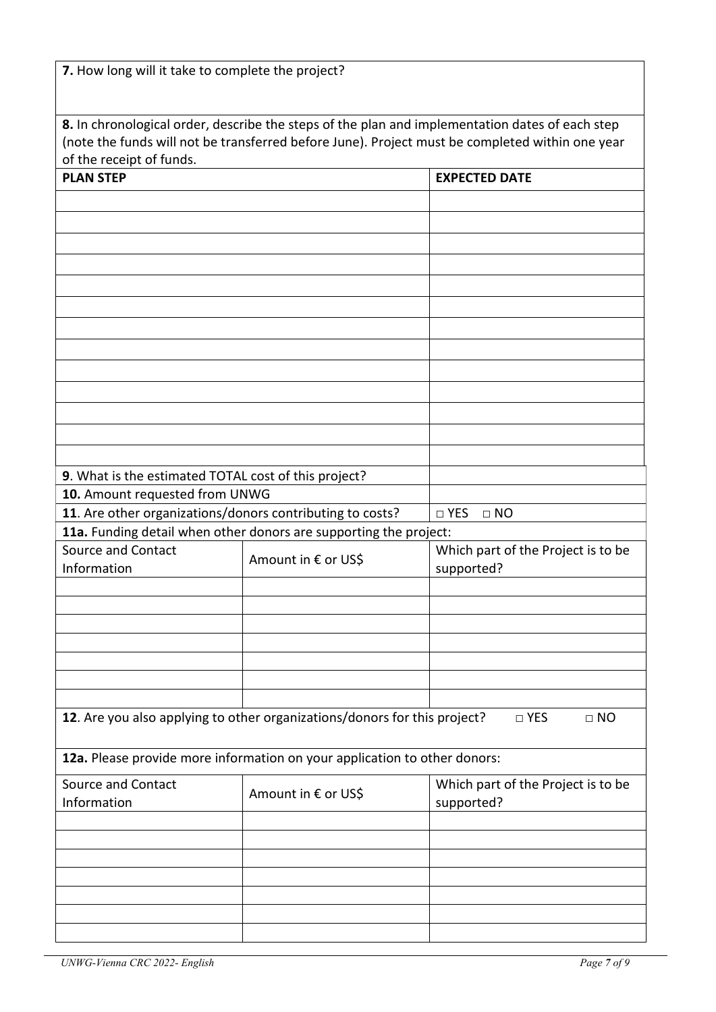| 7. How long will it take to complete the project? |  |  |  |  |  |  |  |  |  |  |  |
|---------------------------------------------------|--|--|--|--|--|--|--|--|--|--|--|
|---------------------------------------------------|--|--|--|--|--|--|--|--|--|--|--|

| 8. In chronological order, describe the steps of the plan and implementation dates of each step |
|-------------------------------------------------------------------------------------------------|
| (note the funds will not be transferred before June). Project must be completed within one year |
| of the receipt of funds.                                                                        |

| <b>PLAN STEP</b>                                          |                                                                           | <b>EXPECTED DATE</b>               |
|-----------------------------------------------------------|---------------------------------------------------------------------------|------------------------------------|
|                                                           |                                                                           |                                    |
|                                                           |                                                                           |                                    |
|                                                           |                                                                           |                                    |
|                                                           |                                                                           |                                    |
|                                                           |                                                                           |                                    |
|                                                           |                                                                           |                                    |
|                                                           |                                                                           |                                    |
|                                                           |                                                                           |                                    |
|                                                           |                                                                           |                                    |
|                                                           |                                                                           |                                    |
|                                                           |                                                                           |                                    |
|                                                           |                                                                           |                                    |
|                                                           |                                                                           |                                    |
|                                                           |                                                                           |                                    |
|                                                           |                                                                           |                                    |
| 9. What is the estimated TOTAL cost of this project?      |                                                                           |                                    |
| 10. Amount requested from UNWG                            |                                                                           |                                    |
| 11. Are other organizations/donors contributing to costs? |                                                                           | $\square$ YES<br>$\Box$ NO         |
|                                                           | 11a. Funding detail when other donors are supporting the project:         |                                    |
| Source and Contact                                        | Amount in € or US\$                                                       | Which part of the Project is to be |
| Information                                               |                                                                           | supported?                         |
|                                                           |                                                                           |                                    |
|                                                           |                                                                           |                                    |
|                                                           |                                                                           |                                    |
|                                                           |                                                                           |                                    |
|                                                           |                                                                           |                                    |
|                                                           |                                                                           |                                    |
|                                                           |                                                                           |                                    |
|                                                           | 12. Are you also applying to other organizations/donors for this project? | □ YES<br>$\Box$ NO                 |
|                                                           |                                                                           |                                    |
|                                                           | 12a. Please provide more information on your application to other donors: |                                    |
| Source and Contact                                        |                                                                           | Which part of the Project is to be |
| Information                                               | Amount in € or US\$                                                       | supported?                         |
|                                                           |                                                                           |                                    |
|                                                           |                                                                           |                                    |
|                                                           |                                                                           |                                    |
|                                                           |                                                                           |                                    |
|                                                           |                                                                           |                                    |
|                                                           |                                                                           |                                    |
|                                                           |                                                                           |                                    |
|                                                           |                                                                           |                                    |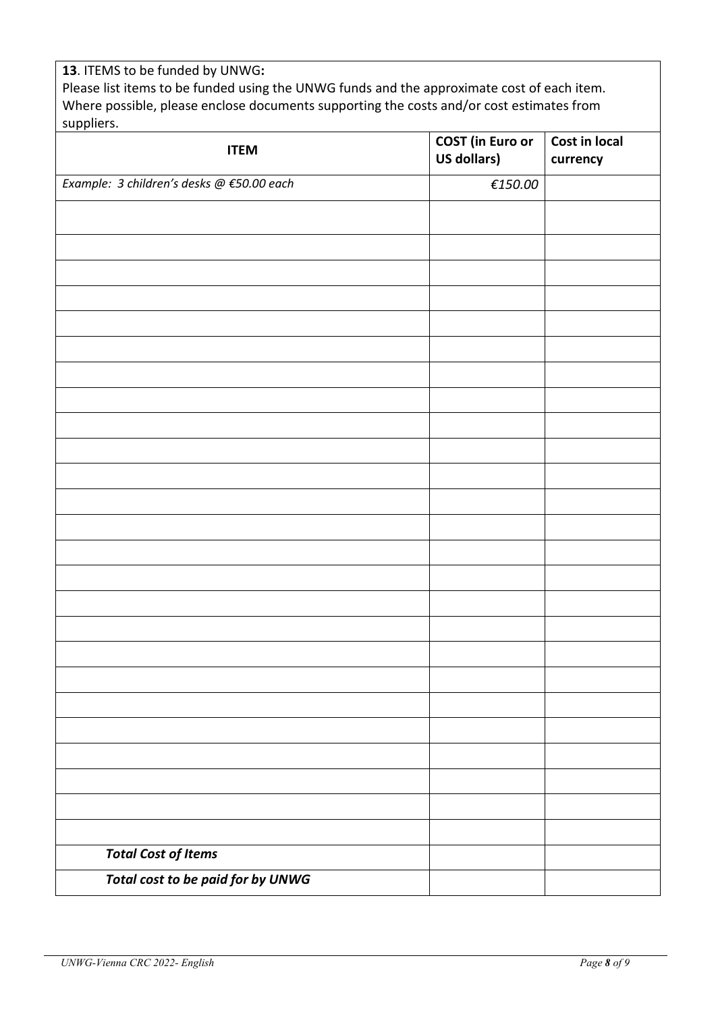## **13**. ITEMS to be funded by UNWG**:**  Please list items to be funded using the UNWG funds and the approximate cost of each item. Where possible, please enclose documents supporting the costs and/or cost estimates from suppliers.

| <b>ITEM</b>                               | <b>COST</b> (in Euro or<br><b>US dollars)</b>      | Cost in local<br>currency |
|-------------------------------------------|----------------------------------------------------|---------------------------|
| Example: 3 children's desks @ €50.00 each | $\textcolor{red}{\epsilon}\textcolor{red}{150.00}$ |                           |
|                                           |                                                    |                           |
|                                           |                                                    |                           |
|                                           |                                                    |                           |
|                                           |                                                    |                           |
|                                           |                                                    |                           |
|                                           |                                                    |                           |
|                                           |                                                    |                           |
|                                           |                                                    |                           |
|                                           |                                                    |                           |
|                                           |                                                    |                           |
|                                           |                                                    |                           |
|                                           |                                                    |                           |
|                                           |                                                    |                           |
|                                           |                                                    |                           |
|                                           |                                                    |                           |
|                                           |                                                    |                           |
|                                           |                                                    |                           |
|                                           |                                                    |                           |
|                                           |                                                    |                           |
|                                           |                                                    |                           |
|                                           |                                                    |                           |
|                                           |                                                    |                           |
|                                           |                                                    |                           |
|                                           |                                                    |                           |
|                                           |                                                    |                           |
| <b>Total Cost of Items</b>                |                                                    |                           |
| Total cost to be paid for by UNWG         |                                                    |                           |